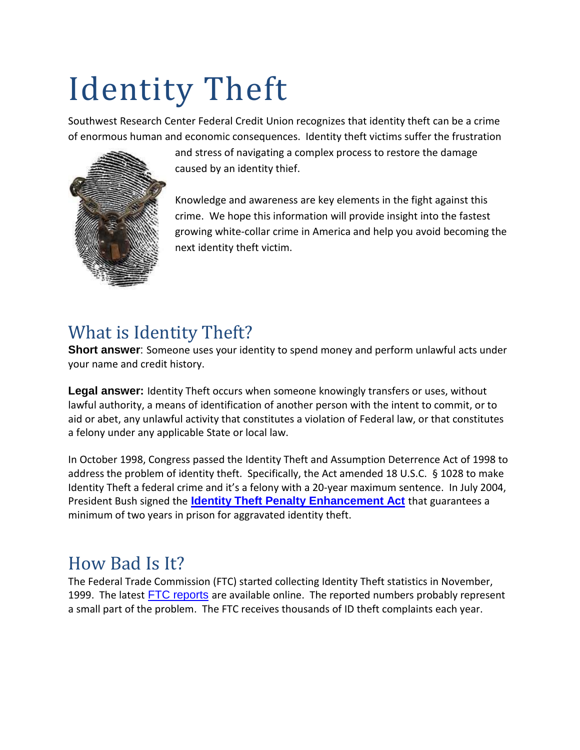# Identity Theft

Southwest Research Center Federal Credit Union recognizes that identity theft can be a crime of enormous human and economic consequences. Identity theft victims suffer the frustration



and stress of navigating a complex process to restore the damage caused by an identity thief.

Knowledge and awareness are key elements in the fight against this crime. We hope this information will provide insight into the fastest growing white-collar crime in America and help you avoid becoming the next identity theft victim.

# What is Identity Theft?

**Short answer**: Someone uses your identity to spend money and perform unlawful acts under your name and credit history.

**Legal answer:** Identity Theft occurs when someone knowingly transfers or uses, without lawful authority, a means of identification of another person with the intent to commit, or to aid or abet, any unlawful activity that constitutes a violation of Federal law, or that constitutes a felony under any applicable State or local law.

In October 1998, Congress passed the Identity Theft and Assumption Deterrence [Act](http://www.ftc.gov/node/119459) of 1998 to address the problem of identity theft. Specifically, the Act amended 18 U.S.C. § 1028 to make Identity Theft a federal crime and it's a felony with a 20-year maximum sentence. In July 2004, President Bush signed the **Identity Theft Penalty [Enhancement](http://www.gpo.gov/fdsys/pkg/PLAW-108publ275/html/PLAW-108publ275.htm) Act** that guarantees a minimum of two years in prison for aggravated identity theft.

# How Bad Is It?

The Federal Trade Commission (FTC) started collecting Identity Theft statistics in November, 1999. The latest FTC [reports](http://www.ftc.gov/enforcement/consumer-sentinel-network/reports) are available online. The reported numbers probably represent a small part of the problem. The FTC receives thousands of ID theft complaints each year.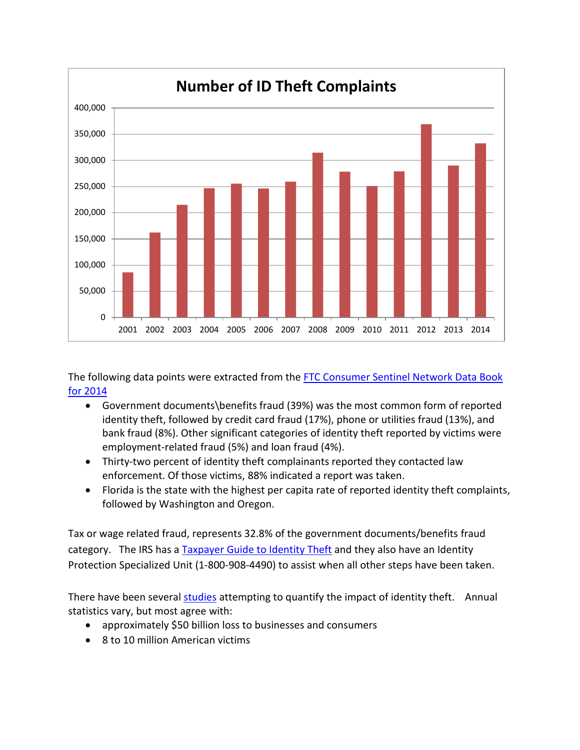

The following data points were extracted from the [FTC Consumer Sentinel Network Data Book](https://www.ftc.gov/system/files/documents/reports/consumer-sentinel-network-data-book-january-december-2014/sentinel-cy2014-1.pdf)  [for 2014](https://www.ftc.gov/system/files/documents/reports/consumer-sentinel-network-data-book-january-december-2014/sentinel-cy2014-1.pdf)

- Government documents\benefits fraud (39%) was the most common form of reported identity theft, followed by credit card fraud (17%), phone or utilities fraud (13%), and bank fraud (8%). Other significant categories of identity theft reported by victims were employment-related fraud (5%) and loan fraud (4%).
- Thirty-two percent of identity theft complainants reported they contacted law enforcement. Of those victims, 88% indicated a report was taken.
- Florida is the state with the highest per capita rate of reported identity theft complaints, followed by Washington and Oregon.

Tax or wage related fraud, represents 32.8% of the government documents/benefits fraud category. The IRS has a [Taxpayer](http://www.irs.gov/uac/Taxpayer-Guide-to-Identity-Theft) Guide to Identity Theft and they also have an Identity Protection Specialized Unit (1-800-908-4490) to assist when all other steps have been taken.

There have been several [studies](https://www.privacyrights.org/ar/idtheftsurveys.htm) attempting to quantify the impact of identity theft. Annual statistics vary, but most agree with:

- approximately \$50 billion loss to businesses and consumers
- 8 to 10 million American victims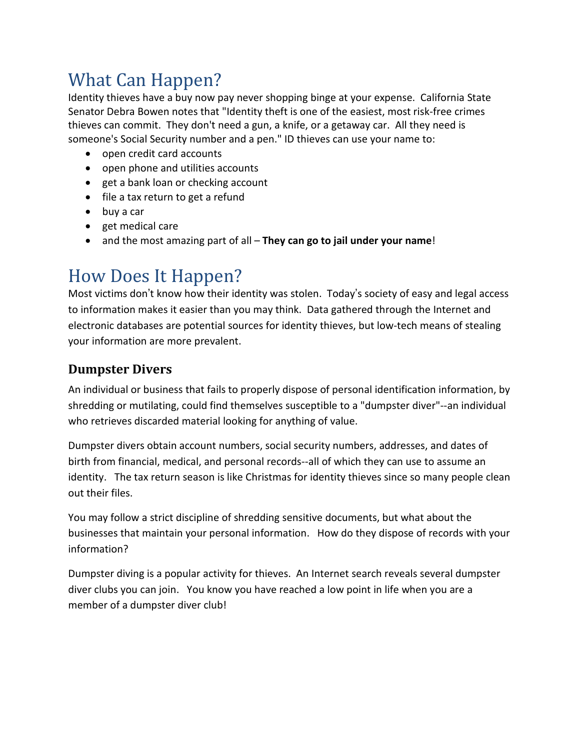# What Can Happen?

Identity thieves have a buy now pay never shopping binge at your expense. California State Senator Debra Bowen notes that "Identity theft is one of the easiest, most risk-free crimes thieves can commit. They don't need a gun, a knife, or a getaway car. All they need is someone's Social Security number and a pen." ID thieves can use your name to:

- open credit card accounts
- open phone and utilities accounts
- get a bank loan or checking account
- file a tax return to get a refund
- buy a car
- get medical care
- and the most amazing part of all **They can go to jail under your name**!

# How Does It Happen?

Most victims don't know how their identity was stolen. Today's society of easy and legal access to information makes it easier than you may think. Data gathered through the Internet and electronic databases are potential sources for identity thieves, but low-tech means of stealing your information are more prevalent.

# **Dumpster Divers**

An individual or business that fails to properly dispose of personal identification information, by shredding or mutilating, could find themselves susceptible to a "dumpster diver"--an individual who retrieves discarded material looking for anything of value.

Dumpster divers obtain account numbers, social security numbers, addresses, and dates of birth from financial, medical, and personal records--all of which they can use to assume an identity. The tax return season is like Christmas for identity thieves since so many people clean out their files.

You may follow a strict discipline of shredding sensitive documents, but what about the businesses that maintain your personal information. How do they dispose of records with your information?

Dumpster diving is a popular activity for thieves. An Internet search reveals several dumpster diver clubs you can join. You know you have reached a low point in life when you are a member of a dumpster diver club!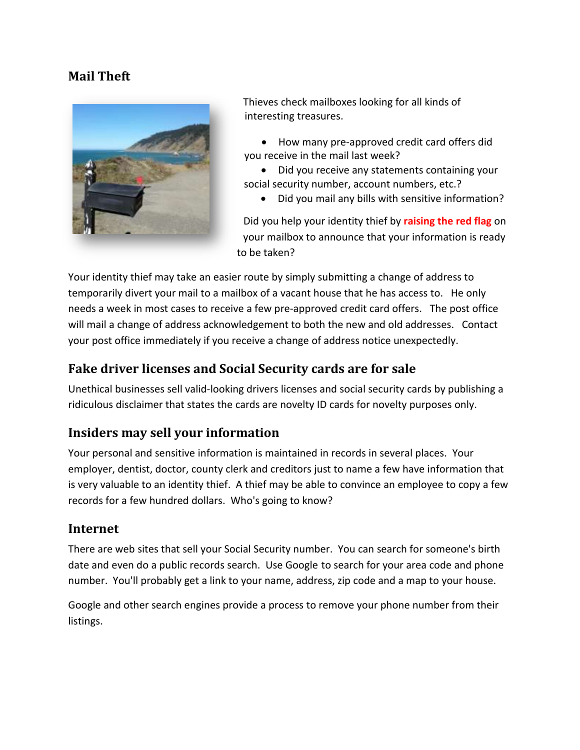#### **Mail Theft**



Thieves check mailboxes looking for all kinds of interesting treasures.

 How many pre-approved credit card offers did you receive in the mail last week?

 Did you receive any statements containing your social security number, account numbers, etc.?

Did you mail any bills with sensitive information?

Did you help your identity thief by **raising the red flag** on your mailbox to announce that your information is ready to be taken?

Your identity thief may take an easier route by simply submitting a change of address to temporarily divert your mail to a mailbox of a vacant house that he has access to. He only needs a week in most cases to receive a few pre-approved credit card offers. The post office will mail a change of address acknowledgement to both the new and old addresses. Contact your post office immediately if you receive a change of address notice unexpectedly.

#### **Fake driver licenses and Social Security cards are for sale**

Unethical businesses sell valid-looking drivers licenses and social security cards by publishing a ridiculous disclaimer that states the cards are novelty ID cards for novelty purposes only.

#### **Insiders may sell your information**

Your personal and sensitive information is maintained in records in several places. Your employer, dentist, doctor, county clerk and creditors just to name a few have information that is very valuable to an identity thief. A thief may be able to convince an employee to copy a few records for a few hundred dollars. Who's going to know?

#### **Internet**

There are web sites that sell your Social Security number. You can search for someone's birth date and even do a public records search. Use Google to search for your area code and phone number. You'll probably get a link to your name, address, zip code and a map to your house.

Google and other search engines provide a process to remove your phone number from their listings.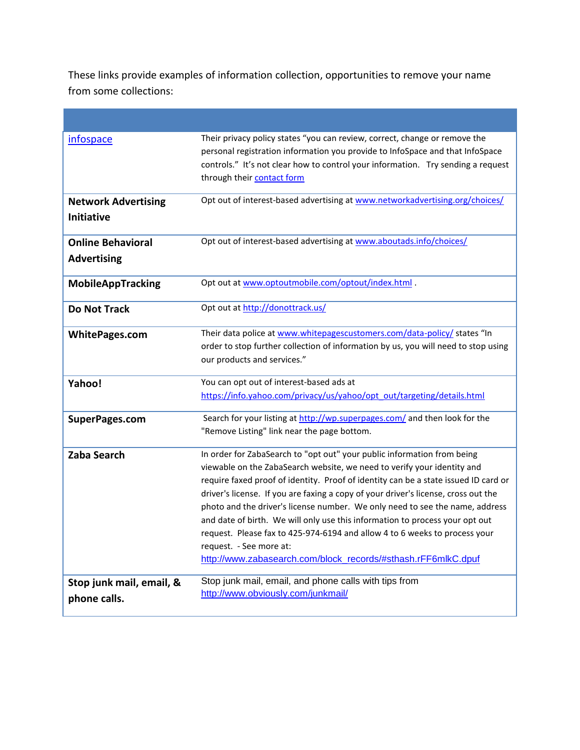These links provide examples of information collection, opportunities to remove your name from some collections:

| <u>infospace</u>                               | Their privacy policy states "you can review, correct, change or remove the<br>personal registration information you provide to InfoSpace and that InfoSpace<br>controls." It's not clear how to control your information. Try sending a request<br>through their contact form                                                                                                                                                                                                                                                                                                                                                                                             |
|------------------------------------------------|---------------------------------------------------------------------------------------------------------------------------------------------------------------------------------------------------------------------------------------------------------------------------------------------------------------------------------------------------------------------------------------------------------------------------------------------------------------------------------------------------------------------------------------------------------------------------------------------------------------------------------------------------------------------------|
| <b>Network Advertising</b><br>Initiative       | Opt out of interest-based advertising at www.networkadvertising.org/choices/                                                                                                                                                                                                                                                                                                                                                                                                                                                                                                                                                                                              |
| <b>Online Behavioral</b><br><b>Advertising</b> | Opt out of interest-based advertising at www.aboutads.info/choices/                                                                                                                                                                                                                                                                                                                                                                                                                                                                                                                                                                                                       |
| MobileAppTracking                              | Opt out at www.optoutmobile.com/optout/index.html .                                                                                                                                                                                                                                                                                                                                                                                                                                                                                                                                                                                                                       |
| <b>Do Not Track</b>                            | Opt out at http://donottrack.us/                                                                                                                                                                                                                                                                                                                                                                                                                                                                                                                                                                                                                                          |
| <b>WhitePages.com</b>                          | Their data police at www.whitepagescustomers.com/data-policy/ states "In<br>order to stop further collection of information by us, you will need to stop using<br>our products and services."                                                                                                                                                                                                                                                                                                                                                                                                                                                                             |
| Yahoo!                                         | You can opt out of interest-based ads at<br>https://info.yahoo.com/privacy/us/yahoo/opt_out/targeting/details.html                                                                                                                                                                                                                                                                                                                                                                                                                                                                                                                                                        |
| SuperPages.com                                 | Search for your listing at http://wp.superpages.com/ and then look for the<br>"Remove Listing" link near the page bottom.                                                                                                                                                                                                                                                                                                                                                                                                                                                                                                                                                 |
| <b>Zaba Search</b>                             | In order for ZabaSearch to "opt out" your public information from being<br>viewable on the ZabaSearch website, we need to verify your identity and<br>require faxed proof of identity. Proof of identity can be a state issued ID card or<br>driver's license. If you are faxing a copy of your driver's license, cross out the<br>photo and the driver's license number. We only need to see the name, address<br>and date of birth. We will only use this information to process your opt out<br>request. Please fax to 425-974-6194 and allow 4 to 6 weeks to process your<br>request. - See more at:<br>http://www.zabasearch.com/block records/#sthash.rFF6mlkC.dpuf |
| Stop junk mail, email, &<br>phone calls.       | Stop junk mail, email, and phone calls with tips from<br>http://www.obviously.com/junkmail/                                                                                                                                                                                                                                                                                                                                                                                                                                                                                                                                                                               |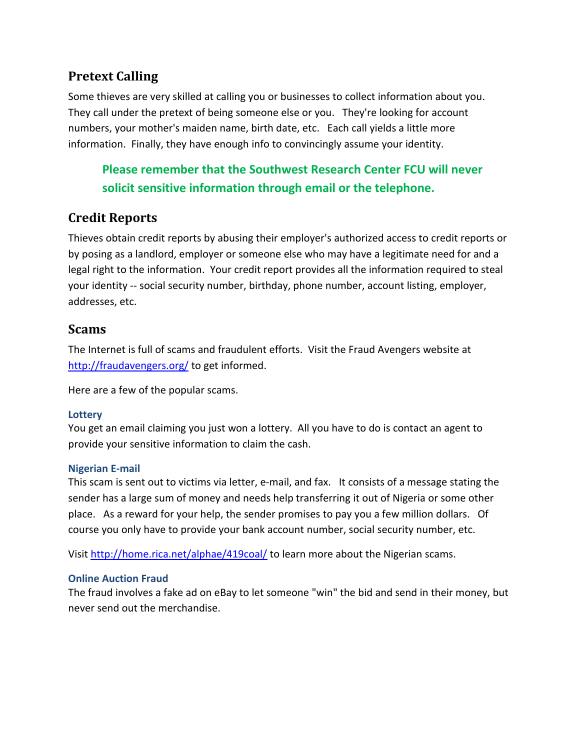#### **Pretext Calling**

Some thieves are very skilled at calling you or businesses to collect information about you. They call under the pretext of being someone else or you. They're looking for account numbers, your mother's maiden name, birth date, etc. Each call yields a little more information. Finally, they have enough info to convincingly assume your identity.

# **Please remember that the Southwest Research Center FCU will never solicit sensitive information through email or the telephone.**

## **Credit Reports**

Thieves obtain credit reports by abusing their employer's authorized access to credit reports or by posing as a landlord, employer or someone else who may have a legitimate need for and a legal right to the information. Your credit report provides all the information required to steal your identity -- social security number, birthday, phone number, account listing, employer, addresses, etc.

#### **Scams**

The Internet is full of scams and fraudulent efforts. Visit the Fraud Avengers website at <http://fraudavengers.org/> to get informed.

Here are a few of the popular scams.

#### **Lottery**

You get an email claiming you just won a lottery. All you have to do is contact an agent to provide your sensitive information to claim the cash.

#### **Nigerian E-mail**

This scam is sent out to victims via letter, e-mail, and fax. It consists of a message stating the sender has a large sum of money and needs help transferring it out of Nigeria or some other place. As a reward for your help, the sender promises to pay you a few million dollars. Of course you only have to provide your bank account number, social security number, etc.

Visit <http://home.rica.net/alphae/419coal/> to learn more about the Nigerian scams.

#### **Online Auction Fraud**

The fraud involves a fake ad on eBay to let someone "win" the bid and send in their money, but never send out the merchandise.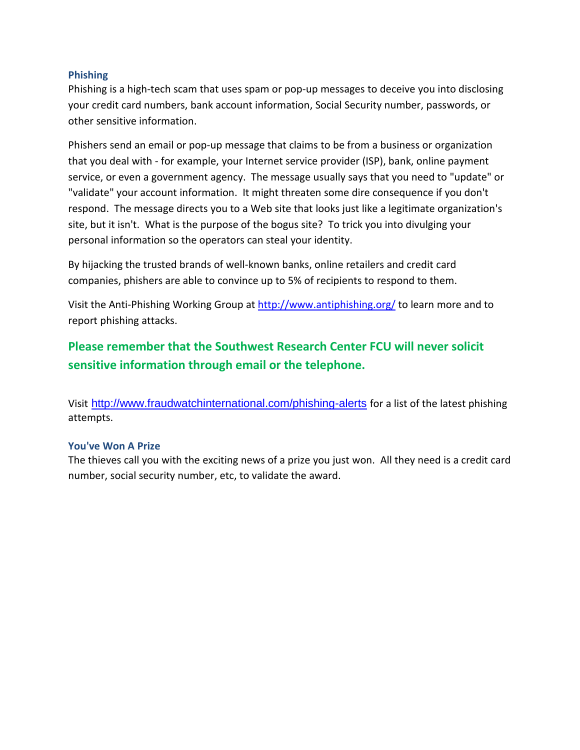#### **Phishing**

Phishing is a high-tech scam that uses spam or pop-up messages to deceive you into disclosing your credit card numbers, bank account information, Social Security number, passwords, or other sensitive information.

Phishers send an email or pop-up message that claims to be from a business or organization that you deal with - for example, your Internet service provider (ISP), bank, online payment service, or even a government agency. The message usually says that you need to "update" or "validate" your account information. It might threaten some dire consequence if you don't respond. The message directs you to a Web site that looks just like a legitimate organization's site, but it isn't. What is the purpose of the bogus site? To trick you into divulging your personal information so the operators can steal your identity.

By hijacking the trusted brands of well-known banks, online retailers and credit card companies, phishers are able to convince up to 5% of recipients to respond to them.

Visit the Anti-Phishing Working Group at <http://www.antiphishing.org/> to learn more and to report phishing attacks.

## **Please remember that the Southwest Research Center FCU will never solicit sensitive information through email or the telephone.**

Visit <http://www.fraudwatchinternational.com/phishing-alerts> for a list of the latest phishing attempts.

#### **You've Won A Prize**

The thieves call you with the exciting news of a prize you just won. All they need is a credit card number, social security number, etc, to validate the award.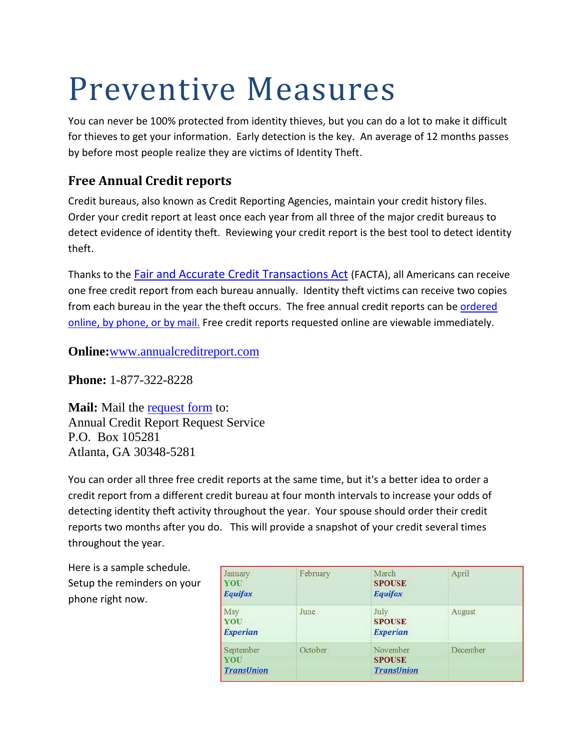# Preventive Measures

You can never be 100% protected from identity thieves, but you can do a lot to make it difficult for thieves to get your information. Early detection is the key. An average of 12 months passes by before most people realize they are victims of Identity Theft.

# **Free Annual Credit reports**

Credit bureaus, also known as Credit Reporting Agencies, maintain your credit history files. Order your credit report at least once each year from all three of the major credit bureaus to detect evidence of identity theft. Reviewing your credit report is the best tool to detect identity theft.

Thanks to the Fair and Accurate Credit [Transactions](http://en.wikipedia.org/wiki/Fair_and_Accurate_Credit_Transactions_Act) Act (FACTA), all Americans can receive one free credit report from each bureau annually. Identity theft victims can receive two copies from each bureau in the year the theft occurs. The free annual credit reports can be [ordered](https://www.annualcreditreport.com/gettingReports.action) online, by [phone,](https://www.annualcreditreport.com/gettingReports.action) or by mail. Free credit reports requested online are viewable immediately.

**Online:**[www.annualcreditreport.com](http://www.annualcreditreport.com/)

**Phone:** 1-877-322-8228

**Mail:** Mail the [request](https://www.annualcreditreport.com/manualRequestForm.action) form to: Annual Credit Report Request Service P.O. Box 105281 Atlanta, GA 30348-5281

You can order all three free credit reports at the same time, but it's a better idea to order a credit report from a different credit bureau at four month intervals to increase your odds of detecting identity theft activity throughout the year. Your spouse should order their credit reports two months after you do. This will provide a snapshot of your credit several times throughout the year.

Here is a sample schedule. Setup the reminders on your phone right now.

| January<br>YOU<br><b>Equifax</b>             | February | March<br><b>SPOUSE</b><br>Equifax              | April    |
|----------------------------------------------|----------|------------------------------------------------|----------|
| May<br>YOU<br><b>Experian</b>                | June     | July<br><b>SPOUSE</b><br><b>Experian</b>       | August   |
| September<br><b>YOU</b><br><b>TransUnion</b> | October  | November<br><b>SPOUSE</b><br><b>TransUnion</b> | December |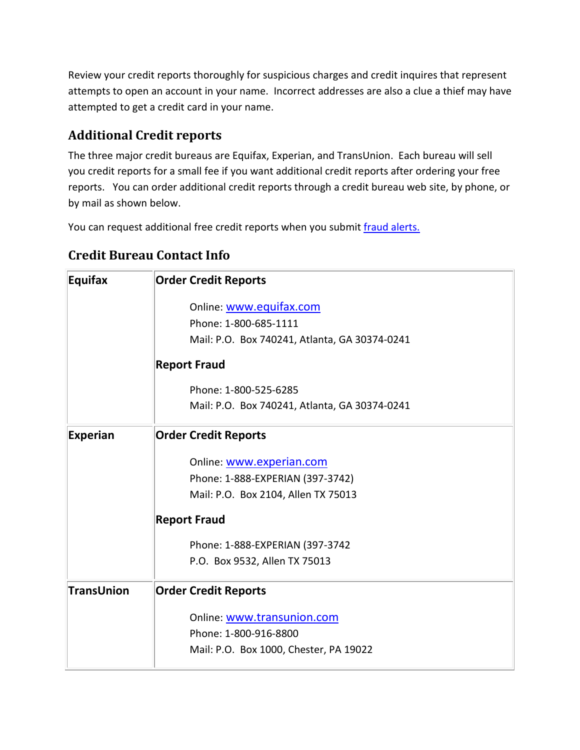Review your credit reports thoroughly for suspicious charges and credit inquires that represent attempts to open an account in your name. Incorrect addresses are also a clue a thief may have attempted to get a credit card in your name.

# **Additional Credit reports**

The three major credit bureaus are Equifax, Experian, and TransUnion. Each bureau will sell you credit reports for a small fee if you want additional credit reports after ordering your free reports. You can order additional credit reports through a credit bureau web site, by phone, or by mail as shown below.

You can request additional free credit reports when you submit fraud [alerts.](http://www.idtheftawareness.com/id_theft_pages/FraudAlerts.php)

| <b>Equifax</b>    | <b>Order Credit Reports</b>                   |
|-------------------|-----------------------------------------------|
|                   | Online: www.equifax.com                       |
|                   | Phone: 1-800-685-1111                         |
|                   | Mail: P.O. Box 740241, Atlanta, GA 30374-0241 |
|                   | <b>Report Fraud</b>                           |
|                   | Phone: 1-800-525-6285                         |
|                   | Mail: P.O. Box 740241, Atlanta, GA 30374-0241 |
| <b>Experian</b>   | <b>Order Credit Reports</b>                   |
|                   | Online: www.experian.com                      |
|                   | Phone: 1-888-EXPERIAN (397-3742)              |
|                   | Mail: P.O. Box 2104, Allen TX 75013           |
|                   | <b>Report Fraud</b>                           |
|                   | Phone: 1-888-EXPERIAN (397-3742               |
|                   | P.O. Box 9532, Allen TX 75013                 |
| <b>TransUnion</b> | <b>Order Credit Reports</b>                   |
|                   | Online: www.transunion.com                    |
|                   | Phone: 1-800-916-8800                         |
|                   | Mail: P.O. Box 1000, Chester, PA 19022        |

# **Credit Bureau Contact Info**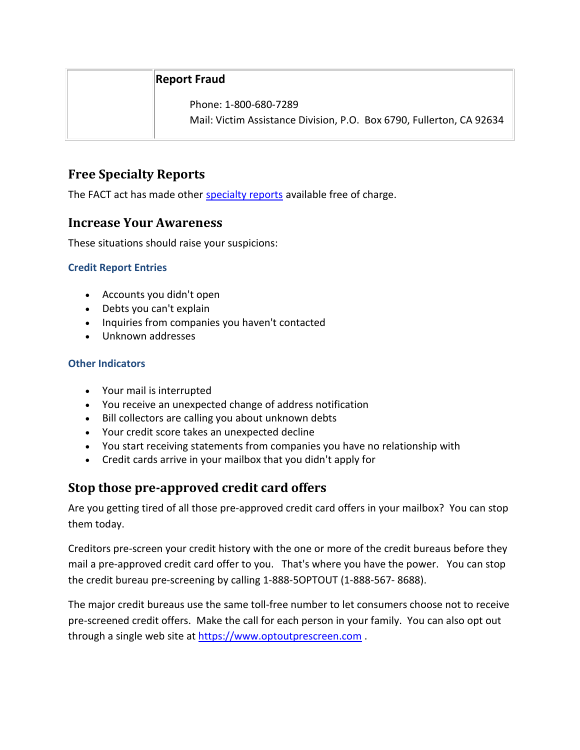#### **Report Fraud**

Phone: 1-800-680-7289

Mail: Victim Assistance Division, P.O. Box 6790, Fullerton, CA 92634

#### **Free Specialty Reports**

The FACT act has made other [specialty](http://www.idtheftawareness.com/id_theft_pages/SpecialtyReports.php) reports available free of charge.

#### **Increase Your Awareness**

These situations should raise your suspicions:

#### **Credit Report Entries**

- Accounts you didn't open
- Debts you can't explain
- Inquiries from companies you haven't contacted
- Unknown addresses

#### **Other Indicators**

- Your mail is interrupted
- You receive an unexpected change of address notification
- Bill collectors are calling you about unknown debts
- Your credit score takes an unexpected decline
- You start receiving statements from companies you have no relationship with
- Credit cards arrive in your mailbox that you didn't apply for

#### **Stop those pre-approved credit card offers**

Are you getting tired of all those pre-approved credit card offers in your mailbox? You can stop them today.

Creditors pre-screen your credit history with the one or more of the credit bureaus before they mail a pre-approved credit card offer to you. That's where you have the power. You can stop the credit bureau pre-screening by calling 1-888-5OPTOUT (1-888-567- 8688).

The major credit bureaus use the same toll-free number to let consumers choose not to receive pre-screened credit offers. Make the call for each person in your family. You can also opt out through a single web site at [https://www.optoutprescreen.com](https://www.optoutprescreen.com/) .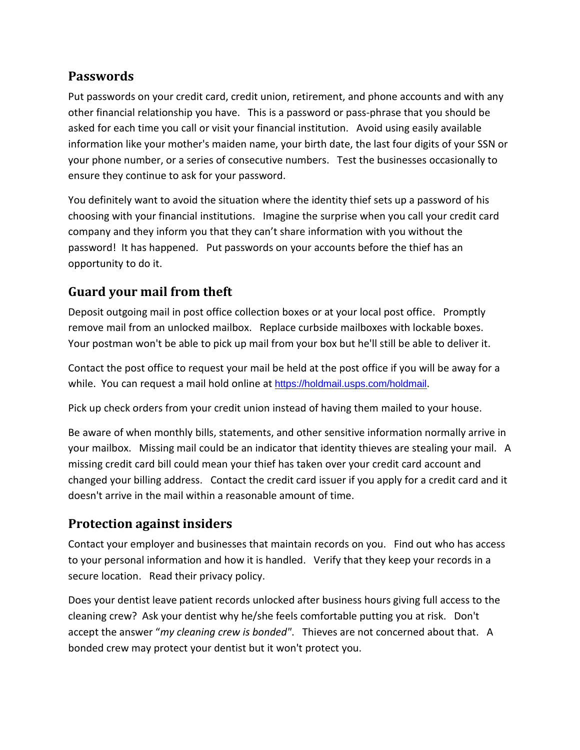#### **Passwords**

Put passwords on your credit card, credit union, retirement, and phone accounts and with any other financial relationship you have. This is a password or pass-phrase that you should be asked for each time you call or visit your financial institution. Avoid using easily available information like your mother's maiden name, your birth date, the last four digits of your SSN or your phone number, or a series of consecutive numbers. Test the businesses occasionally to ensure they continue to ask for your password.

You definitely want to avoid the situation where the identity thief sets up a password of his choosing with your financial institutions. Imagine the surprise when you call your credit card company and they inform you that they can't share information with you without the password! It has happened. Put passwords on your accounts before the thief has an opportunity to do it.

#### **Guard your mail from theft**

Deposit outgoing mail in post office collection boxes or at your local post office. Promptly remove mail from an unlocked mailbox. Replace curbside mailboxes with lockable boxes. Your postman won't be able to pick up mail from your box but he'll still be able to deliver it.

Contact the post office to request your mail be held at the post office if you will be away for a while. You can request a mail hold online at <https://holdmail.usps.com/holdmail>.

Pick up check orders from your credit union instead of having them mailed to your house.

Be aware of when monthly bills, statements, and other sensitive information normally arrive in your mailbox. Missing mail could be an indicator that identity thieves are stealing your mail. A missing credit card bill could mean your thief has taken over your credit card account and changed your billing address. Contact the credit card issuer if you apply for a credit card and it doesn't arrive in the mail within a reasonable amount of time.

#### **Protection against insiders**

Contact your employer and businesses that maintain records on you. Find out who has access to your personal information and how it is handled. Verify that they keep your records in a secure location. Read their privacy policy.

Does your dentist leave patient records unlocked after business hours giving full access to the cleaning crew? Ask your dentist why he/she feels comfortable putting you at risk. Don't accept the answer "*my cleaning crew is bonded"*. Thieves are not concerned about that. A bonded crew may protect your dentist but it won't protect you.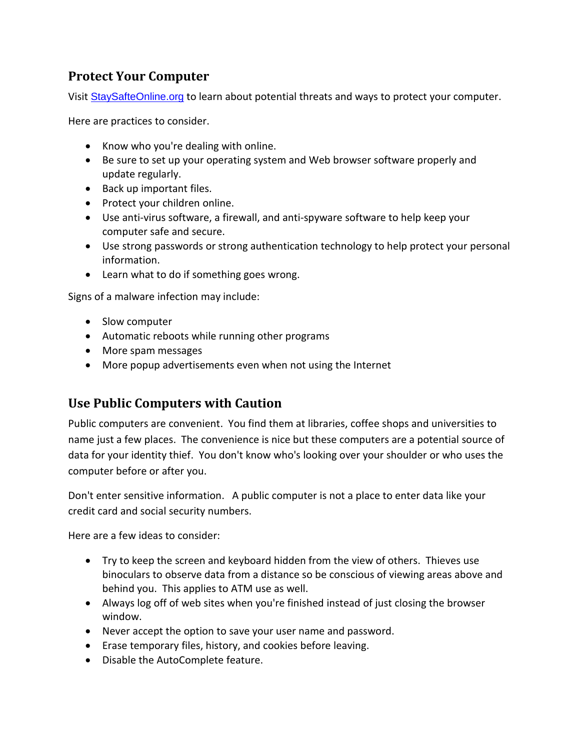#### **Protect Your Computer**

Visit [StaySafteOnline.org](http://staysafeonline.org/stop-think-connect/tips-and-advice) to learn about potential threats and ways to protect your computer.

Here are practices to consider.

- Know who you're dealing with online.
- Be sure to set up your operating system and Web browser software properly and update regularly.
- Back up important files.
- Protect your children online.
- Use anti-virus software, a firewall, and anti-spyware software to help keep your computer safe and secure.
- Use strong passwords or strong authentication technology to help protect your personal information.
- Learn what to do if something goes wrong.

Signs of a malware infection may include:

- Slow computer
- Automatic reboots while running other programs
- More spam messages
- More popup advertisements even when not using the Internet

#### **Use Public Computers with Caution**

Public computers are convenient. You find them at libraries, coffee shops and universities to name just a few places. The convenience is nice but these computers are a potential source of data for your identity thief. You don't know who's looking over your shoulder or who uses the computer before or after you.

Don't enter sensitive information. A public computer is not a place to enter data like your credit card and social security numbers.

Here are a few ideas to consider:

- Try to keep the screen and keyboard hidden from the view of others. Thieves use binoculars to observe data from a distance so be conscious of viewing areas above and behind you. This applies to ATM use as well.
- Always log off of web sites when you're finished instead of just closing the browser window.
- Never accept the option to save your user name and password.
- Erase temporary files, history, and cookies before leaving.
- Disable the AutoComplete feature.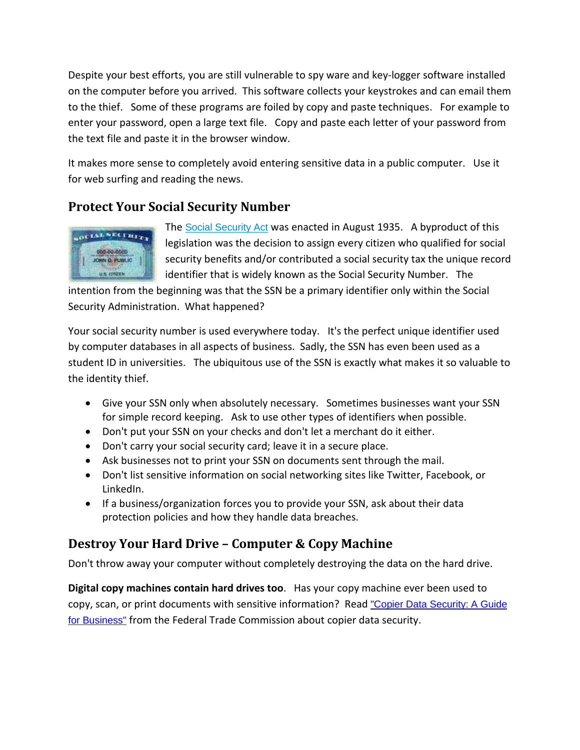Despite your best efforts, you are still vulnerable to spy ware and key-logger software installed on the computer before you arrived. This software collects your keystrokes and can email them to the thief. Some of these programs are foiled by copy and paste techniques. For example to enter your password, open a large text file. Copy and paste each letter of your password from the text file and paste it in the browser window.

It makes more sense to completely avoid entering sensitive data in a public computer. Use it for web surfing and reading the news.

## **Protect Your Social Security Number**



The Social [Security](http://www.ssa.gov/history/tally.html) Act was enacted in August 1935. A byproduct of this legislation was the decision to assign every citizen who qualified for social security benefits and/or contributed a social security tax the unique record identifier that is widely known as the Social Security Number. The

intention from the beginning was that the SSN be a primary identifier only within the Social Security Administration. What happened?

Your social security number is used everywhere today. It's the perfect unique identifier used by computer databases in all aspects of business. Sadly, the SSN has even been used as a student ID in universities. The ubiquitous use of the SSN is exactly what makes it so valuable to the identity thief.

- Give your SSN only when absolutely necessary. Sometimes businesses want your SSN for simple record keeping. Ask to use other types of identifiers when possible.
- Don't put your SSN on your checks and don't let a merchant do it either.
- Don't carry your social security card; leave it in a secure place.
- Ask businesses not to print your SSN on documents sent through the mail.
- Don't list sensitive information on social networking sites like Twitter, Facebook, or LinkedIn.
- If a business/organization forces you to provide your SSN, ask about their data protection policies and how they handle data breaches.

## **Destroy Your Hard Drive – Computer & Copy Machine**

Don't throw away your computer without completely destroying the data on the hard drive.

**Digital copy machines contain hard drives too**. Has your copy machine ever been used to copy, scan, or print documents with sensitive information? Read "Copier Data [Security:](http://business.ftc.gov/documents/bus43-copier-data-security) A Guide for [Business"](http://business.ftc.gov/documents/bus43-copier-data-security) from the Federal Trade Commission about copier data security.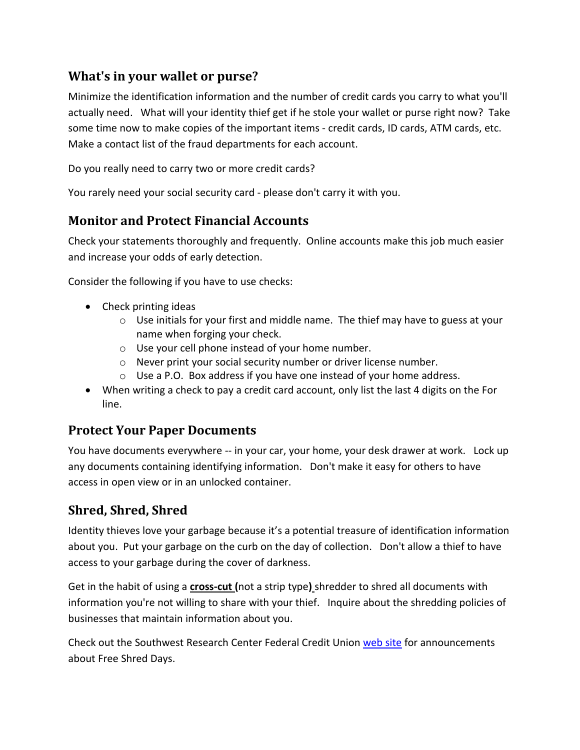#### **What's in your wallet or purse?**

Minimize the identification information and the number of credit cards you carry to what you'll actually need. What will your identity thief get if he stole your wallet or purse right now? Take some time now to make copies of the important items - credit cards, ID cards, ATM cards, etc. Make a contact list of the fraud departments for each account.

Do you really need to carry two or more credit cards?

You rarely need your social security card - please don't carry it with you.

#### **Monitor and Protect Financial Accounts**

Check your statements thoroughly and frequently. Online accounts make this job much easier and increase your odds of early detection.

Consider the following if you have to use checks:

- Check printing ideas
	- $\circ$  Use initials for your first and middle name. The thief may have to guess at your name when forging your check.
	- o Use your cell phone instead of your home number.
	- o Never print your social security number or driver license number.
	- o Use a P.O. Box address if you have one instead of your home address.
- When writing a check to pay a credit card account, only list the last 4 digits on the For line.

#### **Protect Your Paper Documents**

You have documents everywhere -- in your car, your home, your desk drawer at work. Lock up any documents containing identifying information. Don't make it easy for others to have access in open view or in an unlocked container.

#### **Shred, Shred, Shred**

Identity thieves love your garbage because it's a potential treasure of identification information about you. Put your garbage on the curb on the day of collection. Don't allow a thief to have access to your garbage during the cover of darkness.

Get in the habit of using a **cross-cut (**not a strip type**)** shredder to shred all documents with information you're not willing to share with your thief. Inquire about the shredding policies of businesses that maintain information about you.

Check out the Southwest Research Center Federal Credit Union [web](http://www.swrcfcu.com/) site for announcements about Free Shred Days.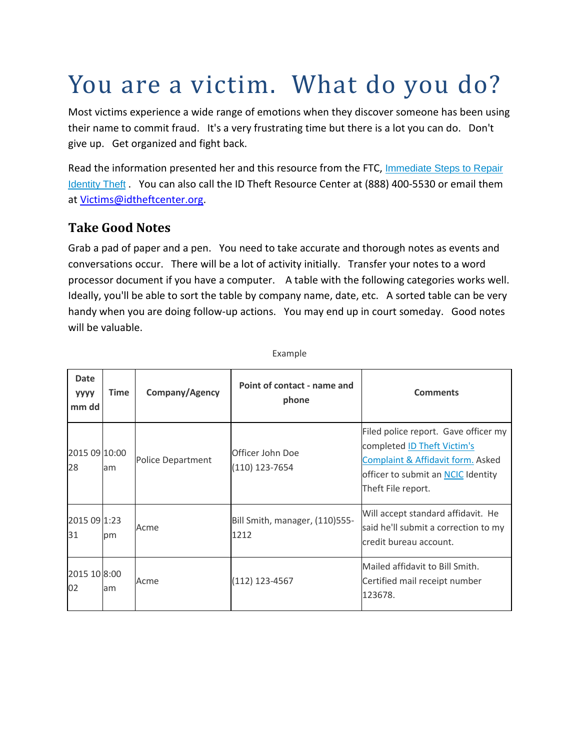# You are a victim. What do you do?

Most victims experience a wide range of emotions when they discover someone has been using their name to commit fraud. It's a very frustrating time but there is a lot you can do. Don't give up. Get organized and fight back.

Read the information presented her and this resource from the FTC, [Immediate](http://www.consumer.ftc.gov/articles/0274-immediate-steps-repair-identity-theft) Steps to Repair [Identity](http://www.consumer.ftc.gov/articles/0274-immediate-steps-repair-identity-theft) Theft . You can also call the ID Theft Resource Center at (888) 400-5530 or email them at [Victims@idtheftcenter.org.](mailto:Victims@idtheftcenter.org)

#### **Take Good Notes**

Grab a pad of paper and a pen. You need to take accurate and thorough notes as events and conversations occur. There will be a lot of activity initially. Transfer your notes to a word processor document if you have a computer. A table with the following categories works well. Ideally, you'll be able to sort the table by company name, date, etc. A sorted table can be very handy when you are doing follow-up actions. You may end up in court someday. Good notes will be valuable.

| <b>Date</b><br><b>YYYY</b><br>mm dd | <b>Time</b> | Company/Agency    | Point of contact - name and<br>phone   | <b>Comments</b>                                                                                                                                                             |
|-------------------------------------|-------------|-------------------|----------------------------------------|-----------------------------------------------------------------------------------------------------------------------------------------------------------------------------|
| 2015 09 10:00<br>28                 | am          | Police Department | Officer John Doe<br>(110) 123-7654     | Filed police report. Gave officer my<br>completed <b>ID Theft Victim's</b><br>Complaint & Affidavit form. Asked<br>officer to submit an NCIC Identity<br>Theft File report. |
| 2015 09 1:23<br>31                  | pm          | Acme              | Bill Smith, manager, (110)555-<br>1212 | Will accept standard affidavit. He<br>said he'll submit a correction to my<br>credit bureau account.                                                                        |
| 2015 10 8:00<br>02                  | am          | Acme              | (112) 123-4567                         | Mailed affidavit to Bill Smith.<br>Certified mail receipt number<br>123678.                                                                                                 |

Example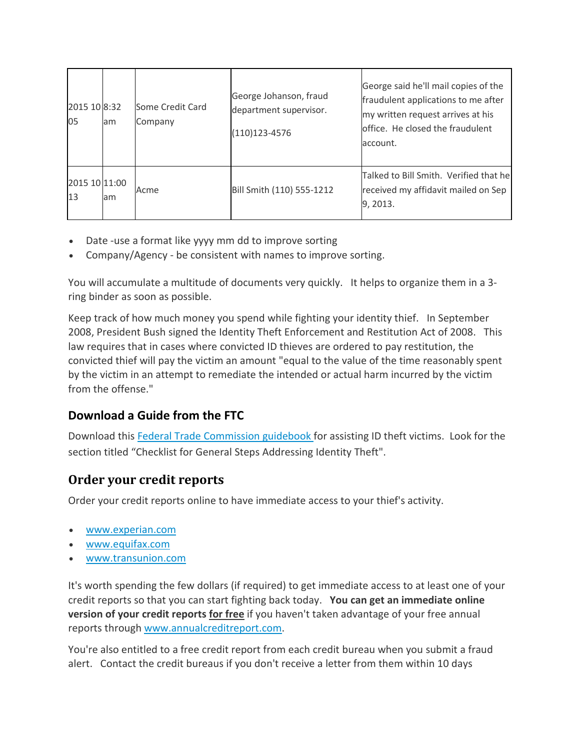| 2015 10 8:32<br>05  | am | Some Credit Card<br>Company | George Johanson, fraud<br>department supervisor.<br>$(110)123 - 4576$ | George said he'll mail copies of the<br>fraudulent applications to me after<br>my written request arrives at his<br>office. He closed the fraudulent<br>account. |
|---------------------|----|-----------------------------|-----------------------------------------------------------------------|------------------------------------------------------------------------------------------------------------------------------------------------------------------|
| 2015 10 11:00<br>13 | am | Acme                        | Bill Smith (110) 555-1212                                             | Talked to Bill Smith. Verified that he<br>received my affidavit mailed on Sep<br>9, 2013.                                                                        |

- Date -use a format like yyyy mm dd to improve sorting
- Company/Agency be consistent with names to improve sorting.

You will accumulate a multitude of documents very quickly. It helps to organize them in a 3 ring binder as soon as possible.

Keep track of how much money you spend while fighting your identity thief. In September 2008, President Bush signed the Identity Theft Enforcement and Restitution Act of 2008. This law requires that in cases where convicted ID thieves are ordered to pay restitution, the convicted thief will pay the victim an amount "equal to the value of the time reasonably spent by the victim in an attempt to remediate the intended or actual harm incurred by the victim from the offense."

#### **Download a Guide from the FTC**

Download this Federal Trade [Commission](http://www.idtheft.gov/probono/docs/B.2.%20Checklist%20for%20General%20Steps.pdf) guidebook for assisting ID theft victims. Look for the section titled "Checklist for General Steps Addressing Identity Theft".

#### **Order your credit reports**

Order your credit reports online to have immediate access to your thief's activity.

- [www.experian.com](http://www.experian.com/)
- [www.equifax.com](http://www.equifax.com/)
- [www.transunion.com](http://www.transunion.com/corporate/home.page)

It's worth spending the few dollars (if required) to get immediate access to at least one of your credit reports so that you can start fighting back today. **You can get an immediate online version of your credit reports for free** if you haven't taken advantage of your free annual reports through [www.annualcreditreport.com.](https://www.annualcreditreport.com/cra/index.jsp)

You're also entitled to a free credit report from each credit bureau when you submit a fraud alert. Contact the credit bureaus if you don't receive a letter from them within 10 days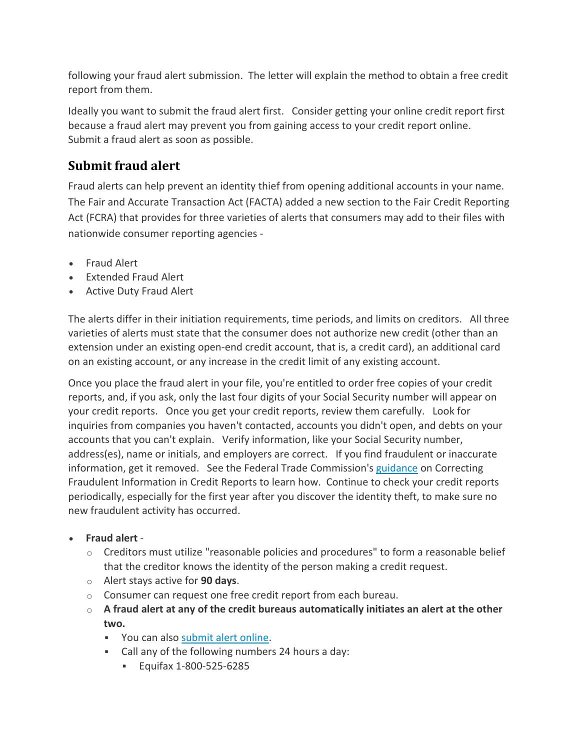following your fraud alert submission. The letter will explain the method to obtain a free credit report from them.

Ideally you want to submit the fraud alert first. Consider getting your online credit report first because a fraud alert may prevent you from gaining access to your credit report online. Submit a fraud alert as soon as possible.

# **Submit fraud alert**

Fraud alerts can help prevent an identity thief from opening additional accounts in your name. The Fair and Accurate Transaction Act (FACTA) added a new section to the Fair Credit Reporting Act (FCRA) that provides for three varieties of alerts that consumers may add to their files with nationwide consumer reporting agencies -

- Fraud Alert
- Extended Fraud Alert
- Active Duty Fraud Alert

The alerts differ in their initiation requirements, time periods, and limits on creditors. All three varieties of alerts must state that the consumer does not authorize new credit (other than an extension under an existing open-end credit account, that is, a credit card), an additional card on an existing account, or any increase in the credit limit of any existing account.

Once you place the fraud alert in your file, you're entitled to order free copies of your credit reports, and, if you ask, only the last four digits of your Social Security number will appear on your credit reports. Once you get your credit reports, review them carefully. Look for inquiries from companies you haven't contacted, accounts you didn't open, and debts on your accounts that you can't explain. Verify information, like your Social Security number, address(es), name or initials, and employers are correct. If you find fraudulent or inaccurate information, get it removed. See the Federal Trade Commission's [guidance](http://www.ftc.gov/bcp/edu/pubs/consumer/credit/cre21.shtm) on Correcting Fraudulent Information in Credit Reports to learn how. Continue to check your credit reports periodically, especially for the first year after you discover the identity theft, to make sure no new fraudulent activity has occurred.

- **Fraud alert**
	- $\circ$  Creditors must utilize "reasonable policies and procedures" to form a reasonable belief that the creditor knows the identity of the person making a credit request.
	- o Alert stays active for **90 days**.
	- o Consumer can request one free credit report from each bureau.
	- o **A fraud alert at any of the credit bureaus automatically initiates an alert at the other two.**
		- You can also [submit](https://www.alerts.equifax.com/AutoFraud_Online/jsp/fraudAlert.jsp) alert online.
		- Call any of the following numbers 24 hours a day:
			- Equifax 1-800-525-6285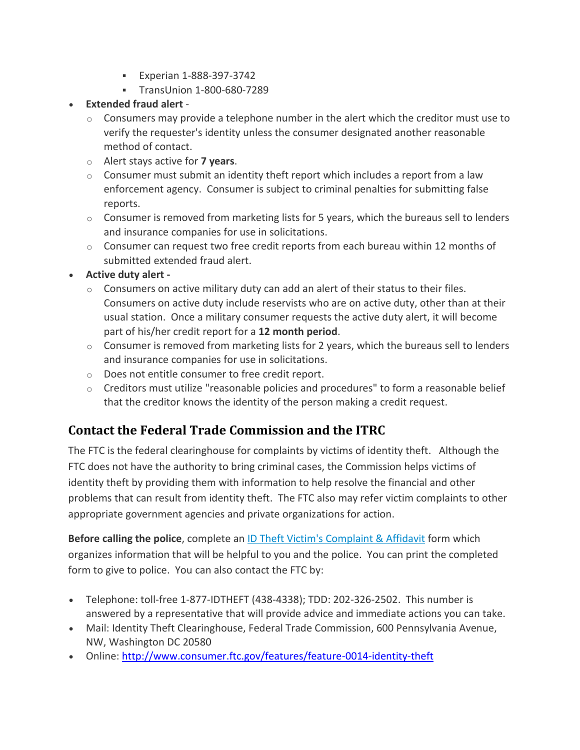- **Experian 1-888-397-3742**
- **TransUnion 1-800-680-7289**

#### **Extended fraud alert** -

- $\circ$  Consumers may provide a telephone number in the alert which the creditor must use to verify the requester's identity unless the consumer designated another reasonable method of contact.
- o Alert stays active for **7 years**.
- $\circ$  Consumer must submit an identity theft report which includes a report from a law enforcement agency. Consumer is subject to criminal penalties for submitting false reports.
- $\circ$  Consumer is removed from marketing lists for 5 years, which the bureaus sell to lenders and insurance companies for use in solicitations.
- $\circ$  Consumer can request two free credit reports from each bureau within 12 months of submitted extended fraud alert.

#### **Active duty alert -**

- $\circ$  Consumers on active military duty can add an alert of their status to their files. Consumers on active duty include reservists who are on active duty, other than at their usual station. Once a military consumer requests the active duty alert, it will become part of his/her credit report for a **12 month period**.
- $\circ$  Consumer is removed from marketing lists for 2 years, which the bureaus sell to lenders and insurance companies for use in solicitations.
- o Does not entitle consumer to free credit report.
- o Creditors must utilize "reasonable policies and procedures" to form a reasonable belief that the creditor knows the identity of the person making a credit request.

# **Contact the Federal Trade Commission and the ITRC**

The FTC is the federal clearinghouse for complaints by victims of identity theft. Although the FTC does not have the authority to bring criminal cases, the Commission helps victims of identity theft by providing them with information to help resolve the financial and other problems that can result from identity theft. The FTC also may refer victim complaints to other appropriate government agencies and private organizations for action.

**Before calling the police**, complete an ID Theft Victim's [Complaint](http://www.ftc.gov/bcp/edu/resources/forms/affidavit.pdf) & Affidavit form which organizes information that will be helpful to you and the police. You can print the completed form to give to police. You can also contact the FTC by:

- Telephone: toll-free 1-877-IDTHEFT (438-4338); TDD: 202-326-2502. This number is answered by a representative that will provide advice and immediate actions you can take.
- Mail: Identity Theft Clearinghouse, Federal Trade Commission, 600 Pennsylvania Avenue, NW, Washington DC 20580
- Online: <http://www.consumer.ftc.gov/features/feature-0014-identity-theft>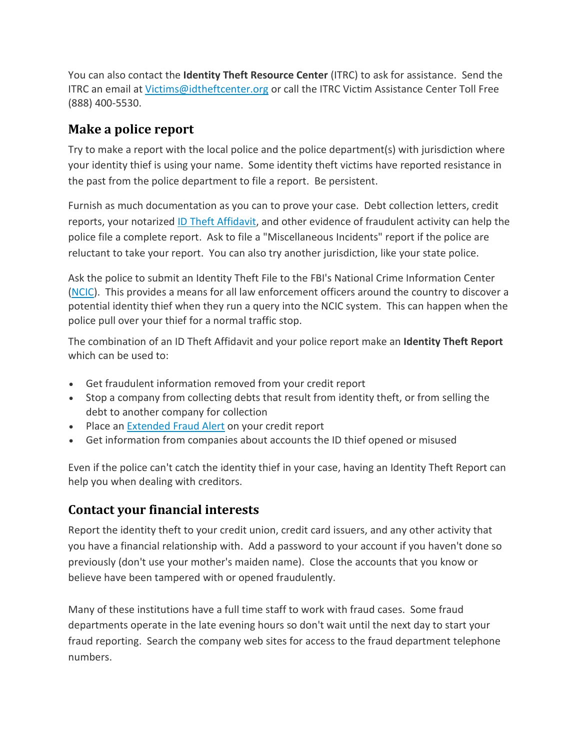You can also contact the **Identity Theft Resource Center** (ITRC) to ask for assistance. Send the ITRC an email at [Victims@idtheftcenter.org](mailto:Victims@idtheftcenter.org) or call the ITRC Victim Assistance Center Toll Free (888) 400-5530.

## **Make a police report**

Try to make a report with the local police and the police department(s) with jurisdiction where your identity thief is using your name. Some identity theft victims have reported resistance in the past from the police department to file a report. Be persistent.

Furnish as much documentation as you can to prove your case. Debt collection letters, credit reports, your notarized ID Theft [Affidavit,](http://www.ftc.gov/bcp/edu/resources/forms/affidavit.pdf) and other evidence of fraudulent activity can help the police file a complete report. Ask to file a "Miscellaneous Incidents" report if the police are reluctant to take your report. You can also try another jurisdiction, like your state police.

Ask the police to submit an Identity Theft File to the FBI's National Crime Information Center [\(NCIC\)](http://policechiefmagazine.org/magazine/index.cfm?fuseaction=display_arch&article_id=1186&issue_id=52007). This provides a means for all law enforcement officers around the country to discover a potential identity thief when they run a query into the NCIC system. This can happen when the police pull over your thief for a normal traffic stop.

The combination of an ID Theft Affidavit and your police report make an **Identity Theft Report** which can be used to:

- Get fraudulent information removed from your credit report
- Stop a company from collecting debts that result from identity theft, or from selling the debt to another company for collection
- Place an [Extended](http://idtheftawareness.com/id_theft_pages/VictimActionList.php#BK_EXTENDED_FRAUD_ALERT) Fraud Alert on your credit report
- Get information from companies about accounts the ID thief opened or misused

Even if the police can't catch the identity thief in your case, having an Identity Theft Report can help you when dealing with creditors.

## **Contact your financial interests**

Report the identity theft to your credit union, credit card issuers, and any other activity that you have a financial relationship with. Add a password to your account if you haven't done so previously (don't use your mother's maiden name). Close the accounts that you know or believe have been tampered with or opened fraudulently.

Many of these institutions have a full time staff to work with fraud cases. Some fraud departments operate in the late evening hours so don't wait until the next day to start your fraud reporting. Search the company web sites for access to the fraud department telephone numbers.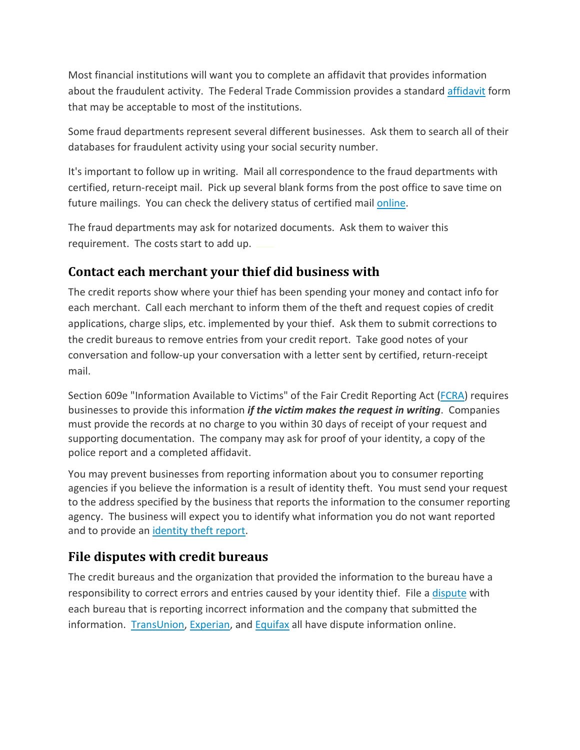Most financial institutions will want you to complete an affidavit that provides information about the fraudulent activity. The Federal Trade Commission provides a standard [affidavit](http://www.ftc.gov/bcp/edu/resources/forms/affidavit.pdf) form that may be acceptable to most of the institutions.

Some fraud departments represent several different businesses. Ask them to search all of their databases for fraudulent activity using your social security number.

It's important to follow up in writing. Mail all correspondence to the fraud departments with certified, return-receipt mail. Pick up several blank forms from the post office to save time on future mailings. You can check the delivery status of certified mail [online.](http://www.usps.com/shipping/trackandconfirm.htm)

The fraud departments may ask for notarized documents. Ask them to waiver this requirement. The costs start to add up.

## **Contact each merchant your thief did business with**

The credit reports show where your thief has been spending your money and contact info for each merchant. Call each merchant to inform them of the theft and request copies of credit applications, charge slips, etc. implemented by your thief. Ask them to submit corrections to the credit bureaus to remove entries from your credit report. Take good notes of your conversation and follow-up your conversation with a letter sent by certified, return-receipt mail.

Section 609e "Information Available to Victims" of the Fair Credit Reporting Act [\(FCRA\)](http://www.ftc.gov/os/statutes/031224fcra.pdf) requires businesses to provide this information *if the victim makes the request in writing*. Companies must provide the records at no charge to you within 30 days of receipt of your request and supporting documentation. The company may ask for proof of your identity, a copy of the police report and a completed affidavit.

You may prevent businesses from reporting information about you to consumer reporting agencies if you believe the information is a result of identity theft. You must send your request to the address specified by the business that reports the information to the consumer reporting agency. The business will expect you to identify what information you do not want reported and to provide an [identity](http://www.consumer.ftc.gov/articles/0277-create-identity-theft-report) theft report.

#### **File disputes with credit bureaus**

The credit bureaus and the organization that provided the information to the bureau have a responsibility to correct errors and entries caused by your identity thief. File a [dispute](http://www.consumer.ftc.gov/articles/0384-sample-letter-disputing-errors-your-credit-report) with each bureau that is reporting incorrect information and the company that submitted the information. [TransUnion,](http://www.transunion.com/corporate/personal/creditDisputes.page) [Experian,](http://www.experian.com/disputes/index.html) and [Equifax](https://www.econsumer.equifax.com/consumer/forward.ehtml?forward=online_dispute) all have dispute information online.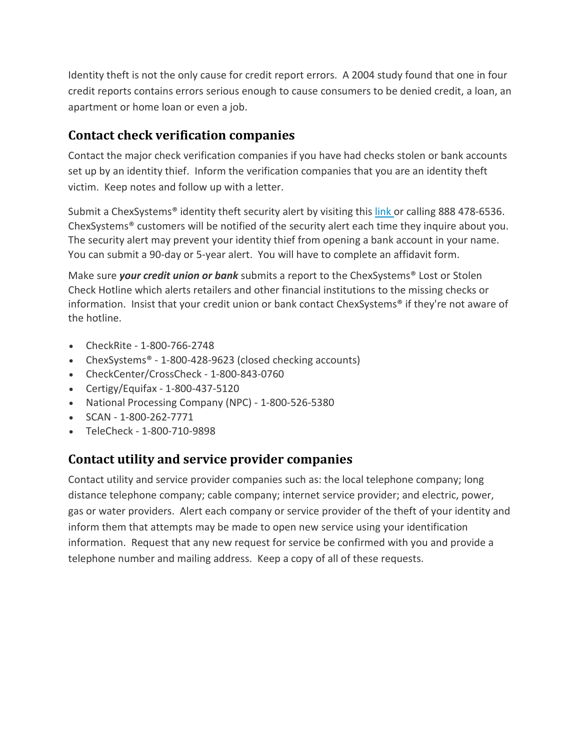Identity theft is not the only cause for credit report errors. A 2004 study found that one in four credit reports contains errors serious enough to cause consumers to be denied credit, a loan, an apartment or home loan or even a job.

#### **Contact check verification companies**

Contact the major check verification companies if you have had checks stolen or bank accounts set up by an identity thief. Inform the verification companies that you are an identity theft victim. Keep notes and follow up with a letter.

Submit a ChexSystems<sup>®</sup> identity theft security alert by visiting this [link](https://www.consumerdebit.com/consumerinfo/us/en/chexsystems/theftaffidavit/index.htm) or calling 888 478-6536. ChexSystems® customers will be notified of the security alert each time they inquire about you. The security alert may prevent your identity thief from opening a bank account in your name. You can submit a 90-day or 5-year alert. You will have to complete an affidavit form.

Make sure *your credit union or bank* submits a report to the ChexSystems® Lost or Stolen Check Hotline which alerts retailers and other financial institutions to the missing checks or information. Insist that your credit union or bank contact ChexSystems® if they're not aware of the hotline.

- CheckRite 1-800-766-2748
- ChexSystems® 1-800-428-9623 (closed checking accounts)
- CheckCenter/CrossCheck 1-800-843-0760
- Certigy/Equifax 1-800-437-5120
- National Processing Company (NPC) 1-800-526-5380
- $\bullet$  SCAN 1-800-262-7771
- TeleCheck 1-800-710-9898

#### **Contact utility and service provider companies**

Contact utility and service provider companies such as: the local telephone company; long distance telephone company; cable company; internet service provider; and electric, power, gas or water providers. Alert each company or service provider of the theft of your identity and inform them that attempts may be made to open new service using your identification information. Request that any new request for service be confirmed with you and provide a telephone number and mailing address. Keep a copy of all of these requests.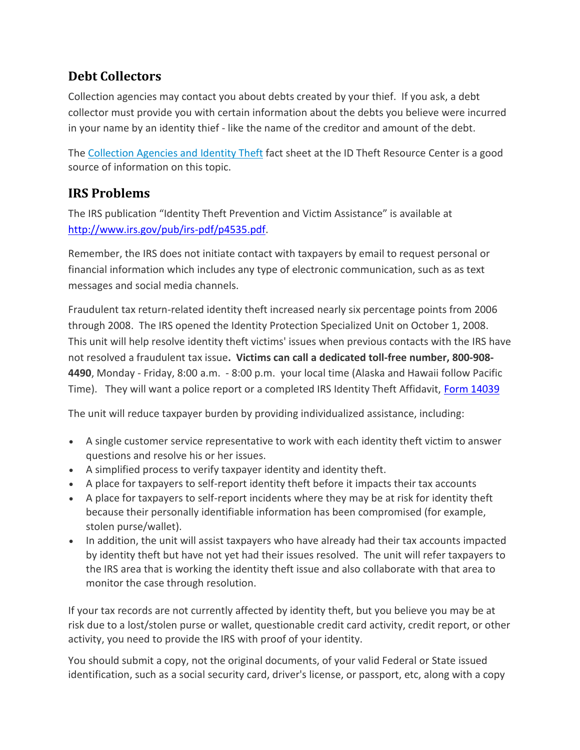## **Debt Collectors**

Collection agencies may contact you about debts created by your thief. If you ask, a debt collector must provide you with certain information about the debts you believe were incurred in your name by an identity thief - like the name of the creditor and amount of the debt.

The [Collection](http://www.idtheftcenter.org/artman2/publish/v_fact_sheets/Fact_Sheet_116_Collection_Agencies_and_Identity_Theft.shtml) Agencies and Identity Theft fact sheet at the ID Theft Resource Center is a good source of information on this topic.

#### **IRS Problems**

The IRS publication "Identity Theft Prevention and Victim Assistance" is available at [http://www.irs.gov/pub/irs-pdf/p4535.pdf.](http://www.irs.gov/pub/irs-pdf/p4535.pdf)

Remember, the IRS does not initiate contact with taxpayers by email to request personal or financial information which includes any type of electronic communication, such as as text messages and social media channels.

Fraudulent tax return-related identity theft increased nearly six percentage points from 2006 through 2008. The IRS opened the Identity Protection Specialized Unit on October 1, 2008. This unit will help resolve identity theft victims' issues when previous contacts with the IRS have not resolved a fraudulent tax issue**. Victims can call a dedicated toll-free number, 800-908- 4490**, Monday - Friday, 8:00 a.m. - 8:00 p.m. your local time (Alaska and Hawaii follow Pacific Time). They will want a police report or a completed IRS Identity Theft Affidavit, [Form 14039](http://www.irs.gov/pub/irs-pdf/f14039.pdf)

The unit will reduce taxpayer burden by providing individualized assistance, including:

- A single customer service representative to work with each identity theft victim to answer questions and resolve his or her issues.
- A simplified process to verify taxpayer identity and identity theft.
- A place for taxpayers to self-report identity theft before it impacts their tax accounts
- A place for taxpayers to self-report incidents where they may be at risk for identity theft because their personally identifiable information has been compromised (for example, stolen purse/wallet).
- In addition, the unit will assist taxpayers who have already had their tax accounts impacted by identity theft but have not yet had their issues resolved. The unit will refer taxpayers to the IRS area that is working the identity theft issue and also collaborate with that area to monitor the case through resolution.

If your tax records are not currently affected by identity theft, but you believe you may be at risk due to a lost/stolen purse or wallet, questionable credit card activity, credit report, or other activity, you need to provide the IRS with proof of your identity.

You should submit a copy, not the original documents, of your valid Federal or State issued identification, such as a social security card, driver's license, or passport, etc, along with a copy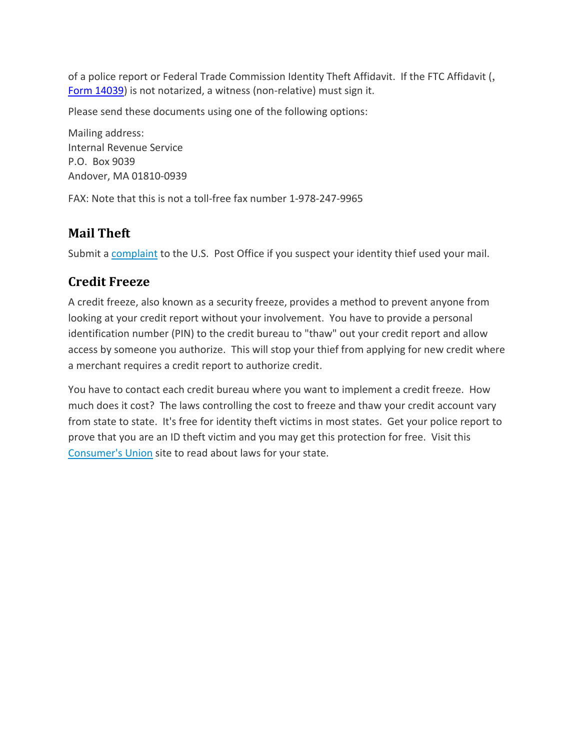of a police report or Federal Trade Commission Identity Theft Affidavit. If the FTC Affidavit (, [Form 14039\)](http://www.irs.gov/pub/irs-pdf/f14039.pdf) is not notarized, a witness (non-relative) must sign it.

Please send these documents using one of the following options:

Mailing address: Internal Revenue Service P.O. Box 9039 Andover, MA 01810-0939

FAX: Note that this is not a toll-free fax number 1-978-247-9965

#### **Mail Theft**

Submit a [complaint](http://ehome.uspis.gov/mailtheft/idtheft.aspx) to the U.S. Post Office if you suspect your identity thief used your mail.

#### **Credit Freeze**

A credit freeze, also known as a security freeze, provides a method to prevent anyone from looking at your credit report without your involvement. You have to provide a personal identification number (PIN) to the credit bureau to "thaw" out your credit report and allow access by someone you authorize. This will stop your thief from applying for new credit where a merchant requires a credit report to authorize credit.

You have to contact each credit bureau where you want to implement a credit freeze. How much does it cost? The laws controlling the cost to freeze and thaw your credit account vary from state to state. It's free for identity theft victims in most states. Get your police report to prove that you are an ID theft victim and you may get this protection for free. Visit this [Consumer's](http://www.consumersunion.org/campaigns/learn_more/003484indiv.html) Union site to read about laws for your state.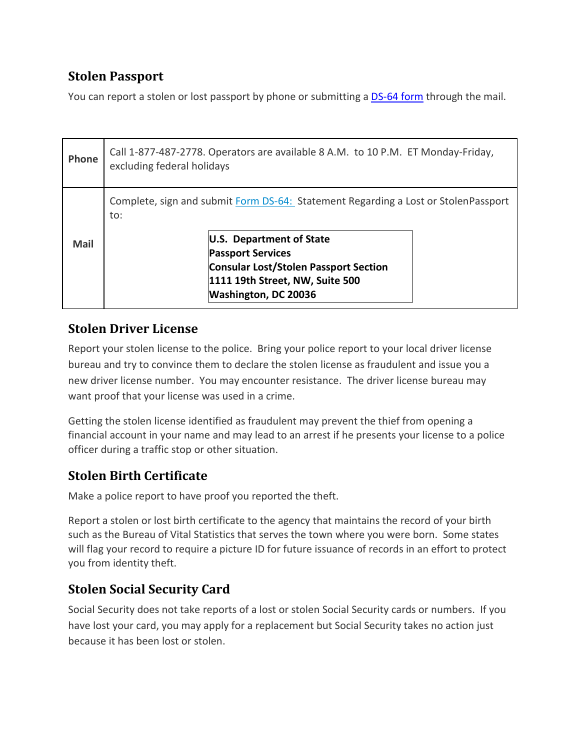# **Stolen Passport**

You can report a stolen or lost passport by phone or submitting a **[DS-64](http://www.state.gov/documents/organization/212245.pdf) form** through the mail.

| Phone | Call 1-877-487-2778. Operators are available 8 A.M. to 10 P.M. ET Monday-Friday,<br>excluding federal holidays |                                                                                                                                                                                                                                                       |  |
|-------|----------------------------------------------------------------------------------------------------------------|-------------------------------------------------------------------------------------------------------------------------------------------------------------------------------------------------------------------------------------------------------|--|
| Mail  | to:                                                                                                            | Complete, sign and submit Form DS-64: Statement Regarding a Lost or StolenPassport<br>U.S. Department of State<br><b>Passport Services</b><br><b>Consular Lost/Stolen Passport Section</b><br>1111 19th Street, NW, Suite 500<br>Washington, DC 20036 |  |

#### **Stolen Driver License**

Report your stolen license to the police. Bring your police report to your local driver license bureau and try to convince them to declare the stolen license as fraudulent and issue you a new driver license number. You may encounter resistance. The driver license bureau may want proof that your license was used in a crime.

Getting the stolen license identified as fraudulent may prevent the thief from opening a financial account in your name and may lead to an arrest if he presents your license to a police officer during a traffic stop or other situation.

# **Stolen Birth Certificate**

Make a police report to have proof you reported the theft.

Report a stolen or lost birth certificate to the agency that maintains the record of your birth such as the Bureau of Vital Statistics that serves the town where you were born. Some states will flag your record to require a picture ID for future issuance of records in an effort to protect you from identity theft.

## **Stolen Social Security Card**

Social Security does not take reports of a lost or stolen Social Security cards or numbers. If you have lost your card, you may apply for a replacement but Social Security takes no action just because it has been lost or stolen.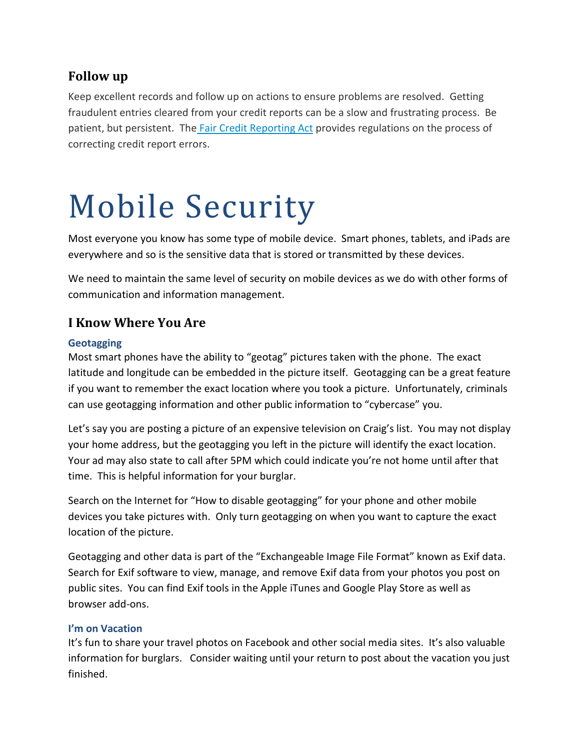#### **Follow up**

Keep excellent records and follow up on actions to ensure problems are resolved. Getting fraudulent entries cleared from your credit reports can be a slow and frustrating process. Be patient, but persistent. The Fair Credit [Reporting](http://www.consumer.ftc.gov/sites/default/files/articles/pdf/pdf-0111-fair-credit-reporting-act.pdf) Act provides regulations on the process of correcting credit report errors.

# Mobile Security

Most everyone you know has some type of mobile device. Smart phones, tablets, and iPads are everywhere and so is the sensitive data that is stored or transmitted by these devices.

We need to maintain the same level of security on mobile devices as we do with other forms of communication and information management.

#### **I Know Where You Are**

#### **Geotagging**

Most smart phones have the ability to "geotag" pictures taken with the phone. The exact latitude and longitude can be embedded in the picture itself. Geotagging can be a great feature if you want to remember the exact location where you took a picture. Unfortunately, criminals can use geotagging information and other public information to "cybercase" you.

Let's say you are posting a picture of an expensive television on Craig's list. You may not display your home address, but the geotagging you left in the picture will identify the exact location. Your ad may also state to call after 5PM which could indicate you're not home until after that time. This is helpful information for your burglar.

Search on the Internet for "How to disable geotagging" for your phone and other mobile devices you take pictures with. Only turn geotagging on when you want to capture the exact location of the picture.

Geotagging and other data is part of the "Exchangeable Image File Format" known as Exif data. Search for Exif software to view, manage, and remove Exif data from your photos you post on public sites. You can find Exif tools in the Apple iTunes and Google Play Store as well as browser add-ons.

#### **I'm on Vacation**

It's fun to share your travel photos on Facebook and other social media sites. It's also valuable information for burglars. Consider waiting until your return to post about the vacation you just finished.